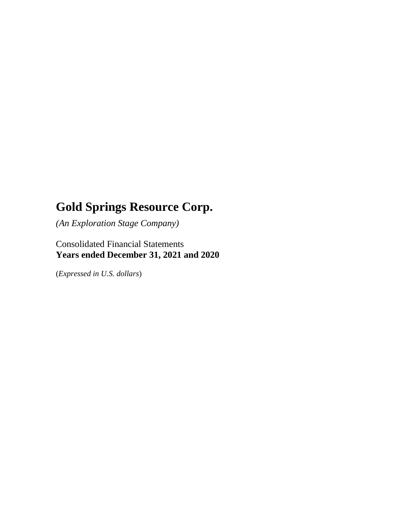*(An Exploration Stage Company)*

Consolidated Financial Statements **Years ended December 31, 2021 and 2020**

(*Expressed in U.S. dollars*)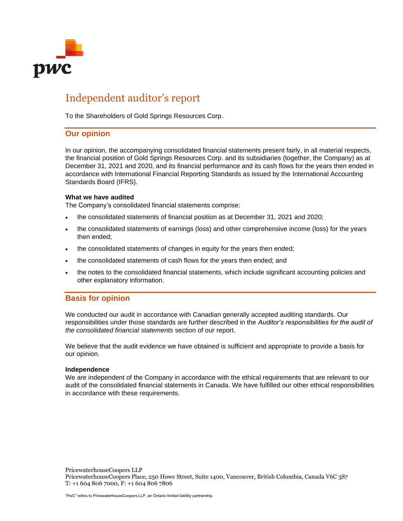

# Independent auditor's report

To the Shareholders of Gold Springs Resources Corp.

### **Our opinion**

In our opinion, the accompanying consolidated financial statements present fairly, in all material respects, the financial position of Gold Springs Resources Corp. and its subsidiaries (together, the Company) as at December 31, 2021 and 2020, and its financial performance and its cash flows for the years then ended in accordance with International Financial Reporting Standards as issued by the International Accounting Standards Board (IFRS).

#### **What we have audited**

The Company's consolidated financial statements comprise:

- the consolidated statements of financial position as at December 31, 2021 and 2020;
- the consolidated statements of earnings (loss) and other comprehensive income (loss) for the years then ended;
- the consolidated statements of changes in equity for the years then ended;
- the consolidated statements of cash flows for the years then ended; and
- the notes to the consolidated financial statements, which include significant accounting policies and other explanatory information.

### **Basis for opinion**

We conducted our audit in accordance with Canadian generally accepted auditing standards. Our responsibilities under those standards are further described in the *Auditor's responsibilities for the audit of the consolidated financial statements* section of our report.

We believe that the audit evidence we have obtained is sufficient and appropriate to provide a basis for our opinion.

#### **Independence**

We are independent of the Company in accordance with the ethical requirements that are relevant to our audit of the consolidated financial statements in Canada. We have fulfilled our other ethical responsibilities in accordance with these requirements.

PricewaterhouseCoopers LLP PricewaterhouseCoopers Place, 250 Howe Street, Suite 1400, Vancouver, British Columbia, Canada V6C 3S7 T: +1 604 806 7000, F: +1 604 806 7806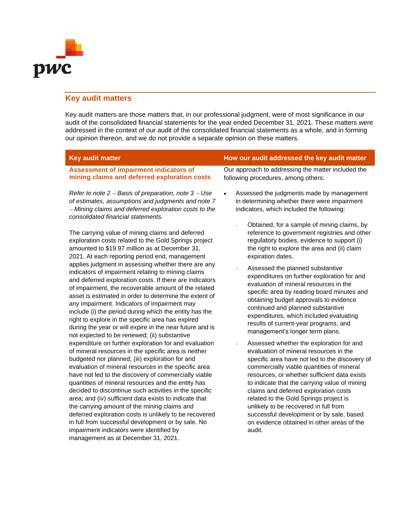

### **Key audit matters**

of mineral resources in the specific area is neither budgeted nor planned; (iii) exploration for and evaluation of mineral resources in the specific area have not led to the discovery of commercially viable quantities of mineral resources and the entity has decided to discontinue such activities in the specific area; and (iv) sufficient data exists to indicate that the carrying amount of the mining claims and

deferred exploration costs is unlikely to be recovered in full from successful development or by sale. No

impairment indicators were identified by management as at December 31, 2021.

Key audit matters are those matters that, in our professional judgment, were of most significance in our audit of the consolidated financial statements for the year ended December 31, 2021. These matters were addressed in the context of our audit of the consolidated financial statements as a whole, and in forming our opinion thereon, and we do not provide a separate opinion on these matters.

| <b>Key audit matter</b>                                                                                                                                                                                                                                                                                                                                                                                                                                                                                                                                           | How our audit addressed the key audit matter                                                                                                                                                                                                                                                                                                                                  |
|-------------------------------------------------------------------------------------------------------------------------------------------------------------------------------------------------------------------------------------------------------------------------------------------------------------------------------------------------------------------------------------------------------------------------------------------------------------------------------------------------------------------------------------------------------------------|-------------------------------------------------------------------------------------------------------------------------------------------------------------------------------------------------------------------------------------------------------------------------------------------------------------------------------------------------------------------------------|
| <b>Assessment of impairment indicators of</b><br>mining claims and deferred exploration costs                                                                                                                                                                                                                                                                                                                                                                                                                                                                     | Our approach to addressing the matter included the<br>following procedures, among others:                                                                                                                                                                                                                                                                                     |
| Refer to note 2 - Basis of preparation, note 3 - Use<br>of estimates, assumptions and judgments and note 7<br>- Mining claims and deferred exploration costs to the<br>consolidated financial statements.                                                                                                                                                                                                                                                                                                                                                         | Assessed the judgments made by management<br>in determining whether there were impairment<br>indicators, which included the following:                                                                                                                                                                                                                                        |
| The carrying value of mining claims and deferred<br>exploration costs related to the Gold Springs project<br>amounted to \$19.97 million as at December 31,<br>2021. At each reporting period end, management                                                                                                                                                                                                                                                                                                                                                     | Obtained, for a sample of mining claims, by<br>reference to government registries and other<br>regulatory bodies, evidence to support (i)<br>the right to explore the area and (ii) claim<br>expiration dates.                                                                                                                                                                |
| applies judgment in assessing whether there are any<br>indicators of impairment relating to mining claims<br>and deferred exploration costs. If there are indicators<br>of impairment, the recoverable amount of the related<br>asset is estimated in order to determine the extent of<br>any impairment. Indicators of impairment may<br>include (i) the period during which the entity has the<br>right to explore in the specific area has expired<br>during the year or will expire in the near future and is<br>not expected to be renewed; (ii) substantive | Assessed the planned substantive<br>expenditures on further exploration for and<br>evaluation of mineral resources in the<br>specific area by reading board minutes and<br>obtaining budget approvals to evidence<br>continued and planned substantive<br>expenditures, which included evaluating<br>results of current-year programs, and<br>management's longer term plans. |
| expenditure on further exploration for and evaluation                                                                                                                                                                                                                                                                                                                                                                                                                                                                                                             | Assessed whether the exploration for and                                                                                                                                                                                                                                                                                                                                      |

− Assessed whether the exploration for and evaluation of mineral resources in the specific area have not led to the discovery of commercially viable quantities of mineral resources, or whether sufficient data exists to indicate that the carrying value of mining claims and deferred exploration costs related to the Gold Springs project is unlikely to be recovered in full from successful development or by sale, based on evidence obtained in other areas of the audit.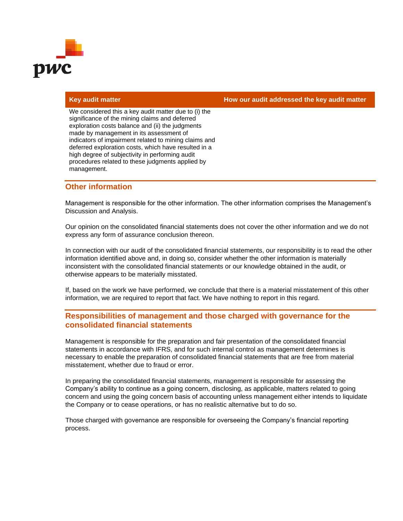

**Key audit matter How our audit addressed the key audit matter**

We considered this a key audit matter due to (i) the significance of the mining claims and deferred exploration costs balance and (ii) the judgments made by management in its assessment of indicators of impairment related to mining claims and deferred exploration costs, which have resulted in a high degree of subjectivity in performing audit procedures related to these judgments applied by management.

### **Other information**

Management is responsible for the other information. The other information comprises the Management's Discussion and Analysis.

Our opinion on the consolidated financial statements does not cover the other information and we do not express any form of assurance conclusion thereon.

In connection with our audit of the consolidated financial statements, our responsibility is to read the other information identified above and, in doing so, consider whether the other information is materially inconsistent with the consolidated financial statements or our knowledge obtained in the audit, or otherwise appears to be materially misstated.

If, based on the work we have performed, we conclude that there is a material misstatement of this other information, we are required to report that fact. We have nothing to report in this regard.

### **Responsibilities of management and those charged with governance for the consolidated financial statements**

Management is responsible for the preparation and fair presentation of the consolidated financial statements in accordance with IFRS, and for such internal control as management determines is necessary to enable the preparation of consolidated financial statements that are free from material misstatement, whether due to fraud or error.

In preparing the consolidated financial statements, management is responsible for assessing the Company's ability to continue as a going concern, disclosing, as applicable, matters related to going concern and using the going concern basis of accounting unless management either intends to liquidate the Company or to cease operations, or has no realistic alternative but to do so.

Those charged with governance are responsible for overseeing the Company's financial reporting process.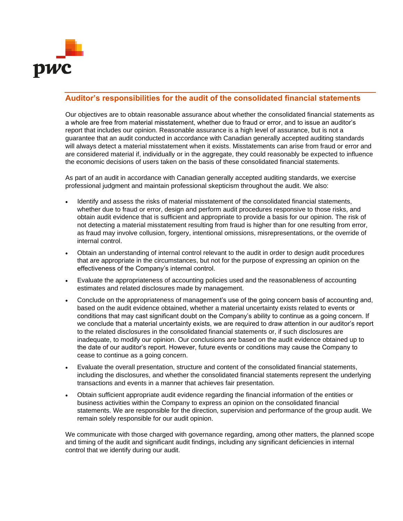

### **Auditor's responsibilities for the audit of the consolidated financial statements**

Our objectives are to obtain reasonable assurance about whether the consolidated financial statements as a whole are free from material misstatement, whether due to fraud or error, and to issue an auditor's report that includes our opinion. Reasonable assurance is a high level of assurance, but is not a guarantee that an audit conducted in accordance with Canadian generally accepted auditing standards will always detect a material misstatement when it exists. Misstatements can arise from fraud or error and are considered material if, individually or in the aggregate, they could reasonably be expected to influence the economic decisions of users taken on the basis of these consolidated financial statements.

As part of an audit in accordance with Canadian generally accepted auditing standards, we exercise professional judgment and maintain professional skepticism throughout the audit. We also:

- Identify and assess the risks of material misstatement of the consolidated financial statements, whether due to fraud or error, design and perform audit procedures responsive to those risks, and obtain audit evidence that is sufficient and appropriate to provide a basis for our opinion. The risk of not detecting a material misstatement resulting from fraud is higher than for one resulting from error, as fraud may involve collusion, forgery, intentional omissions, misrepresentations, or the override of internal control.
- Obtain an understanding of internal control relevant to the audit in order to design audit procedures that are appropriate in the circumstances, but not for the purpose of expressing an opinion on the effectiveness of the Company's internal control.
- Evaluate the appropriateness of accounting policies used and the reasonableness of accounting estimates and related disclosures made by management.
- Conclude on the appropriateness of management's use of the going concern basis of accounting and, based on the audit evidence obtained, whether a material uncertainty exists related to events or conditions that may cast significant doubt on the Company's ability to continue as a going concern. If we conclude that a material uncertainty exists, we are required to draw attention in our auditor's report to the related disclosures in the consolidated financial statements or, if such disclosures are inadequate, to modify our opinion. Our conclusions are based on the audit evidence obtained up to the date of our auditor's report. However, future events or conditions may cause the Company to cease to continue as a going concern.
- Evaluate the overall presentation, structure and content of the consolidated financial statements, including the disclosures, and whether the consolidated financial statements represent the underlying transactions and events in a manner that achieves fair presentation.
- Obtain sufficient appropriate audit evidence regarding the financial information of the entities or business activities within the Company to express an opinion on the consolidated financial statements. We are responsible for the direction, supervision and performance of the group audit. We remain solely responsible for our audit opinion.

We communicate with those charged with governance regarding, among other matters, the planned scope and timing of the audit and significant audit findings, including any significant deficiencies in internal control that we identify during our audit.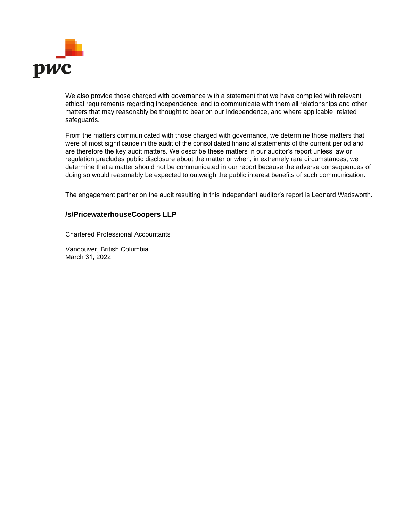

We also provide those charged with governance with a statement that we have complied with relevant ethical requirements regarding independence, and to communicate with them all relationships and other matters that may reasonably be thought to bear on our independence, and where applicable, related safeguards.

From the matters communicated with those charged with governance, we determine those matters that were of most significance in the audit of the consolidated financial statements of the current period and are therefore the key audit matters. We describe these matters in our auditor's report unless law or regulation precludes public disclosure about the matter or when, in extremely rare circumstances, we determine that a matter should not be communicated in our report because the adverse consequences of doing so would reasonably be expected to outweigh the public interest benefits of such communication.

The engagement partner on the audit resulting in this independent auditor's report is Leonard Wadsworth.

#### **/s/PricewaterhouseCoopers LLP**

Chartered Professional Accountants

Vancouver, British Columbia March 31, 2022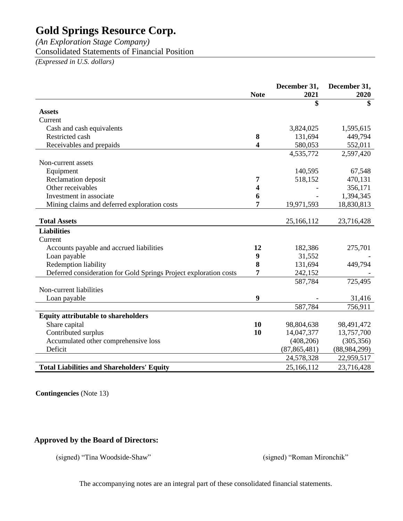*(An Exploration Stage Company)*

Consolidated Statements of Financial Position

*(Expressed in U.S. dollars)*

|                                                                   | <b>Note</b> | December 31,<br>2021 | December 31,<br>2020 |
|-------------------------------------------------------------------|-------------|----------------------|----------------------|
|                                                                   |             | \$                   | \$                   |
| <b>Assets</b>                                                     |             |                      |                      |
| Current                                                           |             |                      |                      |
| Cash and cash equivalents                                         |             | 3,824,025            | 1,595,615            |
| Restricted cash                                                   | 8           | 131,694              | 449,794              |
| Receivables and prepaids                                          | 4           | 580,053              | 552,011              |
|                                                                   |             | 4,535,772            | 2,597,420            |
| Non-current assets                                                |             |                      |                      |
| Equipment                                                         |             | 140,595              | 67,548               |
| Reclamation deposit                                               | 7           | 518,152              | 470,131              |
| Other receivables                                                 | 4           |                      | 356,171              |
| Investment in associate                                           | 6           |                      | 1,394,345            |
| Mining claims and deferred exploration costs                      | 7           | 19,971,593           | 18,830,813           |
| <b>Total Assets</b>                                               |             | 25,166,112           | 23,716,428           |
| <b>Liabilities</b>                                                |             |                      |                      |
| Current                                                           |             |                      |                      |
| Accounts payable and accrued liabilities                          | 12          | 182,386              | 275,701              |
| Loan payable                                                      | 9           | 31,552               |                      |
| Redemption liability                                              | 8           | 131,694              | 449,794              |
| Deferred consideration for Gold Springs Project exploration costs | 7           | 242,152              |                      |
|                                                                   |             | 587,784              | 725,495              |
| Non-current liabilities                                           |             |                      |                      |
| Loan payable                                                      | 9           |                      | 31,416               |
|                                                                   |             | 587,784              | 756,911              |
| <b>Equity attributable to shareholders</b>                        |             |                      |                      |
| Share capital                                                     | 10          | 98,804,638           | 98,491,472           |
| Contributed surplus                                               | 10          | 14,047,377           | 13,757,700           |
| Accumulated other comprehensive loss                              |             | (408, 206)           | (305, 356)           |
| Deficit                                                           |             | (87, 865, 481)       | (88, 984, 299)       |
|                                                                   |             | 24,578,328           | 22,959,517           |
| <b>Total Liabilities and Shareholders' Equity</b>                 |             | 25,166,112           | 23,716,428           |

**Contingencies** (Note 13)

### **Approved by the Board of Directors:**

(signed) "Tina Woodside-Shaw" (signed) "Roman Mironchik"

The accompanying notes are an integral part of these consolidated financial statements.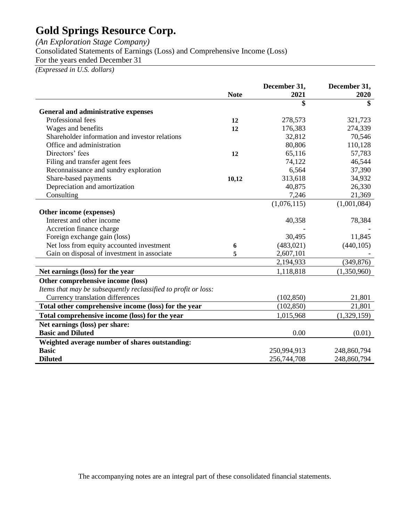*(An Exploration Stage Company)*

Consolidated Statements of Earnings (Loss) and Comprehensive Income (Loss)

For the years ended December 31

*(Expressed in U.S. dollars)*

|                                                                |             | December 31, | December 31, |
|----------------------------------------------------------------|-------------|--------------|--------------|
|                                                                | <b>Note</b> | 2021         | 2020         |
|                                                                |             | \$           | \$           |
| <b>General and administrative expenses</b>                     |             |              |              |
| Professional fees                                              | 12          | 278,573      | 321,723      |
| Wages and benefits                                             | 12          | 176,383      | 274,339      |
| Shareholder information and investor relations                 |             | 32,812       | 70,546       |
| Office and administration                                      |             | 80,806       | 110,128      |
| Directors' fees                                                | 12          | 65,116       | 57,783       |
| Filing and transfer agent fees                                 |             | 74,122       | 46,544       |
| Reconnaissance and sundry exploration                          |             | 6,564        | 37,390       |
| Share-based payments                                           | 10,12       | 313,618      | 34,932       |
| Depreciation and amortization                                  |             | 40,875       | 26,330       |
| Consulting                                                     |             | 7,246        | 21,369       |
|                                                                |             | (1,076,115)  | (1,001,084)  |
| Other income (expenses)                                        |             |              |              |
| Interest and other income                                      |             | 40,358       | 78,384       |
| Accretion finance charge                                       |             |              |              |
| Foreign exchange gain (loss)                                   |             | 30,495       | 11,845       |
| Net loss from equity accounted investment                      | 6           | (483, 021)   | (440, 105)   |
| Gain on disposal of investment in associate                    | 5           | 2,607,101    |              |
|                                                                |             | 2,194,933    | (349, 876)   |
| Net earnings (loss) for the year                               |             | 1,118,818    | (1,350,960)  |
| Other comprehensive income (loss)                              |             |              |              |
| Items that may be subsequently reclassified to profit or loss: |             |              |              |
| Currency translation differences                               |             | (102, 850)   | 21,801       |
| Total other comprehensive income (loss) for the year           |             | (102, 850)   | 21,801       |
| Total comprehensive income (loss) for the year                 |             | 1,015,968    | (1,329,159)  |
| Net earnings (loss) per share:                                 |             |              |              |
| <b>Basic and Diluted</b>                                       |             | 0.00         | (0.01)       |
| Weighted average number of shares outstanding:                 |             |              |              |
| <b>Basic</b>                                                   |             | 250,994,913  | 248,860,794  |
| <b>Diluted</b>                                                 |             | 256,744,708  | 248,860,794  |

The accompanying notes are an integral part of these consolidated financial statements.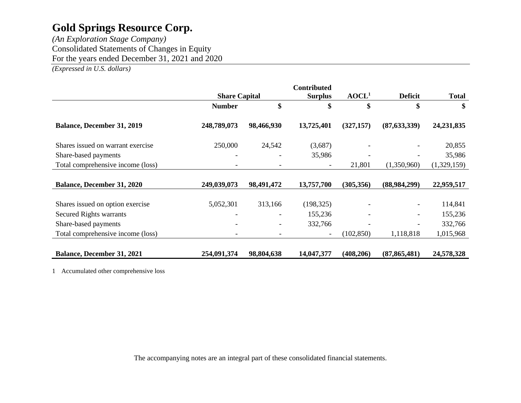*(An Exploration Stage Company)* Consolidated Statements of Changes in Equity For the years ended December 31, 2021 and 2020

*(Expressed in U.S. dollars)*

|                                   |                          |            | <b>Contributed</b> |                   |                          |              |
|-----------------------------------|--------------------------|------------|--------------------|-------------------|--------------------------|--------------|
|                                   | <b>Share Capital</b>     |            | <b>Surplus</b>     | AOCL <sup>1</sup> | <b>Deficit</b>           | <b>Total</b> |
|                                   | <b>Number</b>            | \$         | \$                 | \$                | \$                       | \$           |
| <b>Balance, December 31, 2019</b> | 248,789,073              | 98,466,930 | 13,725,401         | (327, 157)        | (87, 633, 339)           | 24, 231, 835 |
| Shares issued on warrant exercise | 250,000                  | 24,542     | (3,687)            |                   |                          | 20,855       |
| Share-based payments              | $\overline{\phantom{0}}$ |            | 35,986             |                   |                          | 35,986       |
| Total comprehensive income (loss) |                          |            |                    | 21,801            | (1,350,960)              | (1,329,159)  |
|                                   |                          |            |                    |                   |                          |              |
| <b>Balance, December 31, 2020</b> | 249,039,073              | 98,491,472 | 13,757,700         | (305, 356)        | (88,984,299)             | 22,959,517   |
|                                   |                          |            |                    |                   |                          |              |
| Shares issued on option exercise  | 5,052,301                | 313,166    | (198, 325)         |                   | $\overline{\phantom{a}}$ | 114,841      |
| Secured Rights warrants           |                          |            | 155,236            |                   |                          | 155,236      |
| Share-based payments              |                          |            | 332,766            |                   |                          | 332,766      |
| Total comprehensive income (loss) |                          |            |                    | (102, 850)        | 1,118,818                | 1,015,968    |
|                                   |                          |            |                    |                   |                          |              |
| <b>Balance, December 31, 2021</b> | 254,091,374              | 98,804,638 | 14,047,377         | (408, 206)        | (87, 865, 481)           | 24,578,328   |

1 Accumulated other comprehensive loss

The accompanying notes are an integral part of these consolidated financial statements.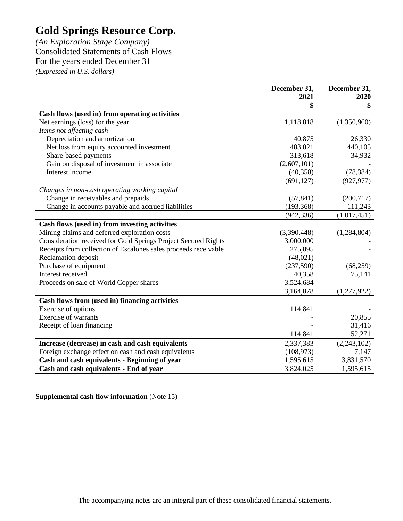*(An Exploration Stage Company)* Consolidated Statements of Cash Flows For the years ended December 31

*(Expressed in U.S. dollars)*

|                                                                 | December 31,<br>2021 | December 31,<br>2020 |
|-----------------------------------------------------------------|----------------------|----------------------|
|                                                                 | \$                   | \$                   |
| Cash flows (used in) from operating activities                  |                      |                      |
| Net earnings (loss) for the year                                | 1,118,818            | (1,350,960)          |
| Items not affecting cash                                        |                      |                      |
| Depreciation and amortization                                   | 40,875               | 26,330               |
| Net loss from equity accounted investment                       | 483,021              | 440,105              |
| Share-based payments                                            | 313,618              | 34,932               |
| Gain on disposal of investment in associate                     | (2,607,101)          |                      |
| Interest income                                                 | (40, 358)            | (78, 384)            |
|                                                                 | (691, 127)           | (927, 977)           |
| Changes in non-cash operating working capital                   |                      |                      |
| Change in receivables and prepaids                              | (57, 841)            | (200, 717)           |
| Change in accounts payable and accrued liabilities              | (193, 368)           | 111,243              |
|                                                                 | (942, 336)           | (1,017,451)          |
| Cash flows (used in) from investing activities                  |                      |                      |
| Mining claims and deferred exploration costs                    | (3,390,448)          | (1,284,804)          |
| Consideration received for Gold Springs Project Secured Rights  | 3,000,000            |                      |
| Receipts from collection of Escalones sales proceeds receivable | 275,895              |                      |
| Reclamation deposit                                             | (48,021)             |                      |
| Purchase of equipment                                           | (237,590)            | (68,259)             |
| Interest received                                               | 40,358               | 75,141               |
| Proceeds on sale of World Copper shares                         | 3,524,684            |                      |
|                                                                 | 3,164,878            | (1,277,922)          |
| Cash flows from (used in) financing activities                  |                      |                      |
| Exercise of options                                             | 114,841              |                      |
| <b>Exercise of warrants</b>                                     |                      | 20,855               |
| Receipt of loan financing                                       |                      | 31,416               |
|                                                                 | 114,841              | 52,271               |
| Increase (decrease) in cash and cash equivalents                | 2,337,383            | (2,243,102)          |
| Foreign exchange effect on cash and cash equivalents            | (108, 973)           | 7,147                |
| Cash and cash equivalents - Beginning of year                   | 1,595,615            | 3,831,570            |
| Cash and cash equivalents - End of year                         | 3,824,025            | 1,595,615            |

**Supplemental cash flow information** (Note 15)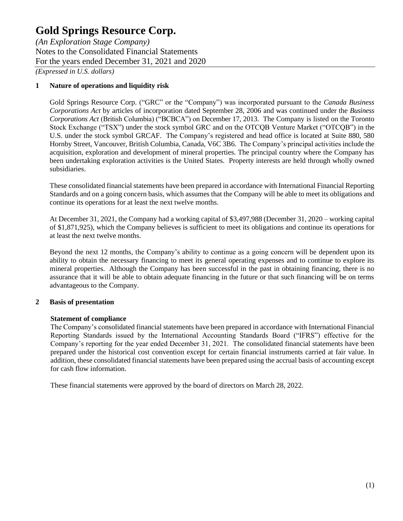*(An Exploration Stage Company)* Notes to the Consolidated Financial Statements For the years ended December 31, 2021 and 2020

*(Expressed in U.S. dollars)*

### **1 Nature of operations and liquidity risk**

Gold Springs Resource Corp. ("GRC" or the "Company") was incorporated pursuant to the *Canada Business Corporations Act* by articles of incorporation dated September 28, 2006 and was continued under the *Business Corporations Act* (British Columbia) ("BCBCA") on December 17, 2013. The Company is listed on the Toronto Stock Exchange ("TSX") under the stock symbol GRC and on the OTCQB Venture Market ("OTCQB") in the U.S. under the stock symbol GRCAF. The Company's registered and head office is located at Suite 880, 580 Hornby Street, Vancouver, British Columbia, Canada, V6C 3B6. The Company's principal activities include the acquisition, exploration and development of mineral properties. The principal country where the Company has been undertaking exploration activities is the United States. Property interests are held through wholly owned subsidiaries.

These consolidated financial statements have been prepared in accordance with International Financial Reporting Standards and on a going concern basis, which assumes that the Company will be able to meet its obligations and continue its operations for at least the next twelve months.

At December 31, 2021, the Company had a working capital of \$3,497,988 (December 31, 2020 – working capital of \$1,871,925), which the Company believes is sufficient to meet its obligations and continue its operations for at least the next twelve months.

Beyond the next 12 months, the Company's ability to continue as a going concern will be dependent upon its ability to obtain the necessary financing to meet its general operating expenses and to continue to explore its mineral properties. Although the Company has been successful in the past in obtaining financing, there is no assurance that it will be able to obtain adequate financing in the future or that such financing will be on terms advantageous to the Company.

#### **2 Basis of presentation**

#### **Statement of compliance**

The Company's consolidated financial statements have been prepared in accordance with International Financial Reporting Standards issued by the International Accounting Standards Board ("IFRS") effective for the Company's reporting for the year ended December 31, 2021. The consolidated financial statements have been prepared under the historical cost convention except for certain financial instruments carried at fair value. In addition, these consolidated financial statements have been prepared using the accrual basis of accounting except for cash flow information.

These financial statements were approved by the board of directors on March 28, 2022.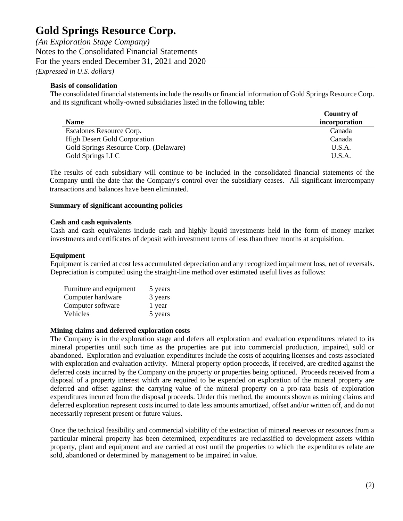*(Expressed in U.S. dollars)*

#### **Basis of consolidation**

The consolidated financial statements include the results or financial information of Gold Springs Resource Corp. and its significant wholly-owned subsidiaries listed in the following table:

|                                        | <b>Country of</b> |
|----------------------------------------|-------------------|
| <b>Name</b>                            | incorporation     |
| Escalones Resource Corp.               | Canada            |
| <b>High Desert Gold Corporation</b>    | Canada            |
| Gold Springs Resource Corp. (Delaware) | U.S.A.            |
| Gold Springs LLC                       | U.S.A.            |

The results of each subsidiary will continue to be included in the consolidated financial statements of the Company until the date that the Company's control over the subsidiary ceases. All significant intercompany transactions and balances have been eliminated.

### **Summary of significant accounting policies**

#### **Cash and cash equivalents**

Cash and cash equivalents include cash and highly liquid investments held in the form of money market investments and certificates of deposit with investment terms of less than three months at acquisition.

### **Equipment**

Equipment is carried at cost less accumulated depreciation and any recognized impairment loss, net of reversals. Depreciation is computed using the straight-line method over estimated useful lives as follows:

| Furniture and equipment | 5 years |
|-------------------------|---------|
| Computer hardware       | 3 years |
| Computer software       | 1 year  |
| Vehicles                | 5 years |

#### **Mining claims and deferred exploration costs**

The Company is in the exploration stage and defers all exploration and evaluation expenditures related to its mineral properties until such time as the properties are put into commercial production, impaired, sold or abandoned. Exploration and evaluation expenditures include the costs of acquiring licenses and costs associated with exploration and evaluation activity. Mineral property option proceeds, if received, are credited against the deferred costs incurred by the Company on the property or properties being optioned. Proceeds received from a disposal of a property interest which are required to be expended on exploration of the mineral property are deferred and offset against the carrying value of the mineral property on a pro-rata basis of exploration expenditures incurred from the disposal proceeds. Under this method, the amounts shown as mining claims and deferred exploration represent costs incurred to date less amounts amortized, offset and/or written off, and do not necessarily represent present or future values.

Once the technical feasibility and commercial viability of the extraction of mineral reserves or resources from a particular mineral property has been determined, expenditures are reclassified to development assets within property, plant and equipment and are carried at cost until the properties to which the expenditures relate are sold, abandoned or determined by management to be impaired in value.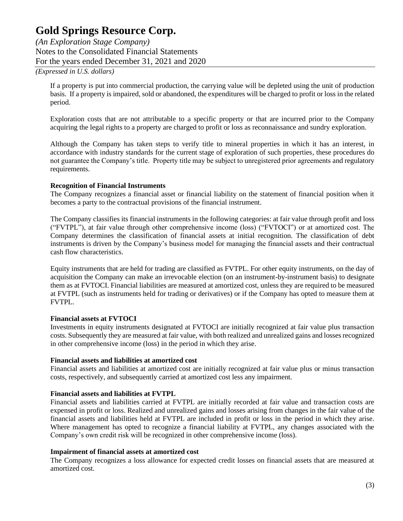*(An Exploration Stage Company)* Notes to the Consolidated Financial Statements For the years ended December 31, 2021 and 2020

*(Expressed in U.S. dollars)*

If a property is put into commercial production, the carrying value will be depleted using the unit of production basis. If a property is impaired, sold or abandoned, the expenditures will be charged to profit or loss in the related period.

Exploration costs that are not attributable to a specific property or that are incurred prior to the Company acquiring the legal rights to a property are charged to profit or loss as reconnaissance and sundry exploration.

Although the Company has taken steps to verify title to mineral properties in which it has an interest, in accordance with industry standards for the current stage of exploration of such properties, these procedures do not guarantee the Company's title. Property title may be subject to unregistered prior agreements and regulatory requirements.

#### **Recognition of Financial Instruments**

The Company recognizes a financial asset or financial liability on the statement of financial position when it becomes a party to the contractual provisions of the financial instrument.

The Company classifies its financial instruments in the following categories: at fair value through profit and loss ("FVTPL"), at fair value through other comprehensive income (loss) ("FVTOCI") or at amortized cost. The Company determines the classification of financial assets at initial recognition. The classification of debt instruments is driven by the Company's business model for managing the financial assets and their contractual cash flow characteristics.

Equity instruments that are held for trading are classified as FVTPL. For other equity instruments, on the day of acquisition the Company can make an irrevocable election (on an instrument-by-instrument basis) to designate them as at FVTOCI. Financial liabilities are measured at amortized cost, unless they are required to be measured at FVTPL (such as instruments held for trading or derivatives) or if the Company has opted to measure them at FVTPL.

#### **Financial assets at FVTOCI**

Investments in equity instruments designated at FVTOCI are initially recognized at fair value plus transaction costs. Subsequently they are measured at fair value, with both realized and unrealized gains and losses recognized in other comprehensive income (loss) in the period in which they arise.

#### **Financial assets and liabilities at amortized cost**

Financial assets and liabilities at amortized cost are initially recognized at fair value plus or minus transaction costs, respectively, and subsequently carried at amortized cost less any impairment.

#### **Financial assets and liabilities at FVTPL**

Financial assets and liabilities carried at FVTPL are initially recorded at fair value and transaction costs are expensed in profit or loss. Realized and unrealized gains and losses arising from changes in the fair value of the financial assets and liabilities held at FVTPL are included in profit or loss in the period in which they arise. Where management has opted to recognize a financial liability at FVTPL, any changes associated with the Company's own credit risk will be recognized in other comprehensive income (loss).

#### **Impairment of financial assets at amortized cost**

The Company recognizes a loss allowance for expected credit losses on financial assets that are measured at amortized cost.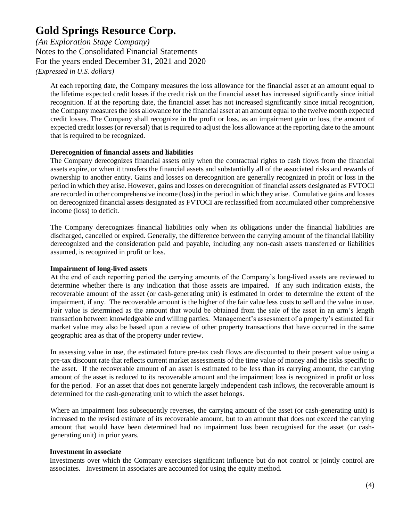*(An Exploration Stage Company)* Notes to the Consolidated Financial Statements For the years ended December 31, 2021 and 2020

*(Expressed in U.S. dollars)*

At each reporting date, the Company measures the loss allowance for the financial asset at an amount equal to the lifetime expected credit losses if the credit risk on the financial asset has increased significantly since initial recognition. If at the reporting date, the financial asset has not increased significantly since initial recognition, the Company measures the loss allowance for the financial asset at an amount equal to the twelve month expected credit losses. The Company shall recognize in the profit or loss, as an impairment gain or loss, the amount of expected credit losses (or reversal) that is required to adjust the loss allowance at the reporting date to the amount that is required to be recognized.

#### **Derecognition of financial assets and liabilities**

The Company derecognizes financial assets only when the contractual rights to cash flows from the financial assets expire, or when it transfers the financial assets and substantially all of the associated risks and rewards of ownership to another entity. Gains and losses on derecognition are generally recognized in profit or loss in the period in which they arise. However, gains and losses on derecognition of financial assets designated as FVTOCI are recorded in other comprehensive income (loss) in the period in which they arise. Cumulative gains and losses on derecognized financial assets designated as FVTOCI are reclassified from accumulated other comprehensive income (loss) to deficit.

The Company derecognizes financial liabilities only when its obligations under the financial liabilities are discharged, cancelled or expired. Generally, the difference between the carrying amount of the financial liability derecognized and the consideration paid and payable, including any non-cash assets transferred or liabilities assumed, is recognized in profit or loss.

#### **Impairment of long-lived assets**

At the end of each reporting period the carrying amounts of the Company's long-lived assets are reviewed to determine whether there is any indication that those assets are impaired. If any such indication exists, the recoverable amount of the asset (or cash-generating unit) is estimated in order to determine the extent of the impairment, if any. The recoverable amount is the higher of the fair value less costs to sell and the value in use. Fair value is determined as the amount that would be obtained from the sale of the asset in an arm's length transaction between knowledgeable and willing parties. Management's assessment of a property's estimated fair market value may also be based upon a review of other property transactions that have occurred in the same geographic area as that of the property under review.

In assessing value in use, the estimated future pre-tax cash flows are discounted to their present value using a pre-tax discount rate that reflects current market assessments of the time value of money and the risks specific to the asset. If the recoverable amount of an asset is estimated to be less than its carrying amount, the carrying amount of the asset is reduced to its recoverable amount and the impairment loss is recognized in profit or loss for the period. For an asset that does not generate largely independent cash inflows, the recoverable amount is determined for the cash-generating unit to which the asset belongs.

Where an impairment loss subsequently reverses, the carrying amount of the asset (or cash-generating unit) is increased to the revised estimate of its recoverable amount, but to an amount that does not exceed the carrying amount that would have been determined had no impairment loss been recognised for the asset (or cashgenerating unit) in prior years.

#### **Investment in associate**

Investments over which the Company exercises significant influence but do not control or jointly control are associates. Investment in associates are accounted for using the equity method.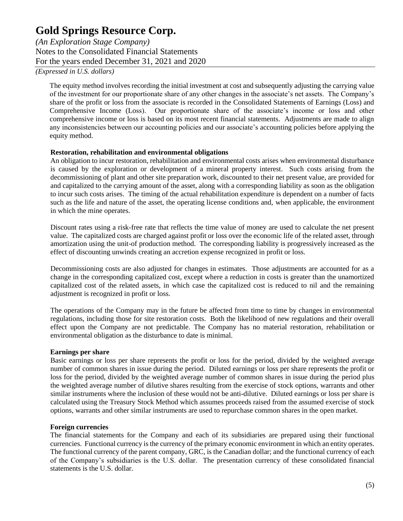*(An Exploration Stage Company)* Notes to the Consolidated Financial Statements For the years ended December 31, 2021 and 2020

*(Expressed in U.S. dollars)*

The equity method involves recording the initial investment at cost and subsequently adjusting the carrying value of the investment for our proportionate share of any other changes in the associate's net assets. The Company's share of the profit or loss from the associate is recorded in the Consolidated Statements of Earnings (Loss) and Comprehensive Income (Loss). Our proportionate share of the associate's income or loss and other comprehensive income or loss is based on its most recent financial statements. Adjustments are made to align any inconsistencies between our accounting policies and our associate's accounting policies before applying the equity method.

#### **Restoration, rehabilitation and environmental obligations**

An obligation to incur restoration, rehabilitation and environmental costs arises when environmental disturbance is caused by the exploration or development of a mineral property interest. Such costs arising from the decommissioning of plant and other site preparation work, discounted to their net present value, are provided for and capitalized to the carrying amount of the asset, along with a corresponding liability as soon as the obligation to incur such costs arises. The timing of the actual rehabilitation expenditure is dependent on a number of facts such as the life and nature of the asset, the operating license conditions and, when applicable, the environment in which the mine operates.

Discount rates using a risk-free rate that reflects the time value of money are used to calculate the net present value. The capitalized costs are charged against profit or loss over the economic life of the related asset, through amortization using the unit-of production method. The corresponding liability is progressively increased as the effect of discounting unwinds creating an accretion expense recognized in profit or loss.

Decommissioning costs are also adjusted for changes in estimates. Those adjustments are accounted for as a change in the corresponding capitalized cost, except where a reduction in costs is greater than the unamortized capitalized cost of the related assets, in which case the capitalized cost is reduced to nil and the remaining adjustment is recognized in profit or loss.

The operations of the Company may in the future be affected from time to time by changes in environmental regulations, including those for site restoration costs. Both the likelihood of new regulations and their overall effect upon the Company are not predictable. The Company has no material restoration, rehabilitation or environmental obligation as the disturbance to date is minimal.

#### **Earnings per share**

Basic earnings or loss per share represents the profit or loss for the period, divided by the weighted average number of common shares in issue during the period. Diluted earnings or loss per share represents the profit or loss for the period, divided by the weighted average number of common shares in issue during the period plus the weighted average number of dilutive shares resulting from the exercise of stock options, warrants and other similar instruments where the inclusion of these would not be anti-dilutive. Diluted earnings or loss per share is calculated using the Treasury Stock Method which assumes proceeds raised from the assumed exercise of stock options, warrants and other similar instruments are used to repurchase common shares in the open market.

#### **Foreign currencies**

The financial statements for the Company and each of its subsidiaries are prepared using their functional currencies. Functional currency is the currency of the primary economic environment in which an entity operates. The functional currency of the parent company, GRC, is the Canadian dollar; and the functional currency of each of the Company's subsidiaries is the U.S. dollar. The presentation currency of these consolidated financial statements is the U.S. dollar.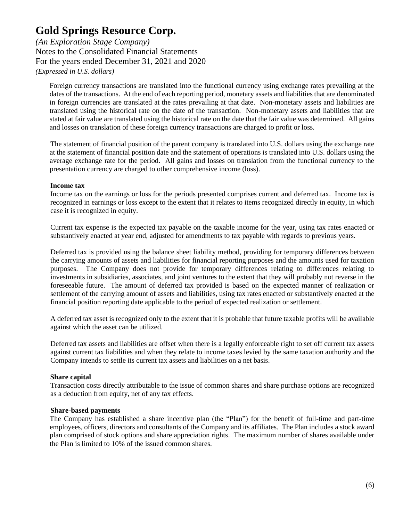*(An Exploration Stage Company)* Notes to the Consolidated Financial Statements For the years ended December 31, 2021 and 2020

*(Expressed in U.S. dollars)*

Foreign currency transactions are translated into the functional currency using exchange rates prevailing at the dates of the transactions. At the end of each reporting period, monetary assets and liabilities that are denominated in foreign currencies are translated at the rates prevailing at that date. Non-monetary assets and liabilities are translated using the historical rate on the date of the transaction. Non-monetary assets and liabilities that are stated at fair value are translated using the historical rate on the date that the fair value was determined. All gains and losses on translation of these foreign currency transactions are charged to profit or loss.

The statement of financial position of the parent company is translated into U.S. dollars using the exchange rate at the statement of financial position date and the statement of operations is translated into U.S. dollars using the average exchange rate for the period. All gains and losses on translation from the functional currency to the presentation currency are charged to other comprehensive income (loss).

#### **Income tax**

Income tax on the earnings or loss for the periods presented comprises current and deferred tax. Income tax is recognized in earnings or loss except to the extent that it relates to items recognized directly in equity, in which case it is recognized in equity.

Current tax expense is the expected tax payable on the taxable income for the year, using tax rates enacted or substantively enacted at year end, adjusted for amendments to tax payable with regards to previous years.

Deferred tax is provided using the balance sheet liability method, providing for temporary differences between the carrying amounts of assets and liabilities for financial reporting purposes and the amounts used for taxation purposes. The Company does not provide for temporary differences relating to differences relating to investments in subsidiaries, associates, and joint ventures to the extent that they will probably not reverse in the foreseeable future. The amount of deferred tax provided is based on the expected manner of realization or settlement of the carrying amount of assets and liabilities, using tax rates enacted or substantively enacted at the financial position reporting date applicable to the period of expected realization or settlement.

A deferred tax asset is recognized only to the extent that it is probable that future taxable profits will be available against which the asset can be utilized.

Deferred tax assets and liabilities are offset when there is a legally enforceable right to set off current tax assets against current tax liabilities and when they relate to income taxes levied by the same taxation authority and the Company intends to settle its current tax assets and liabilities on a net basis.

#### **Share capital**

Transaction costs directly attributable to the issue of common shares and share purchase options are recognized as a deduction from equity, net of any tax effects.

#### **Share-based payments**

The Company has established a share incentive plan (the "Plan") for the benefit of full-time and part-time employees, officers, directors and consultants of the Company and its affiliates. The Plan includes a stock award plan comprised of stock options and share appreciation rights. The maximum number of shares available under the Plan is limited to 10% of the issued common shares.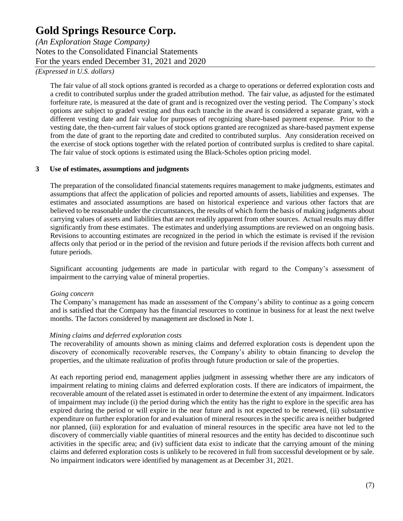*(An Exploration Stage Company)* Notes to the Consolidated Financial Statements For the years ended December 31, 2021 and 2020

*(Expressed in U.S. dollars)*

The fair value of all stock options granted is recorded as a charge to operations or deferred exploration costs and a credit to contributed surplus under the graded attribution method. The fair value, as adjusted for the estimated forfeiture rate, is measured at the date of grant and is recognized over the vesting period. The Company's stock options are subject to graded vesting and thus each tranche in the award is considered a separate grant, with a different vesting date and fair value for purposes of recognizing share-based payment expense. Prior to the vesting date, the then-current fair values of stock options granted are recognized as share-based payment expense from the date of grant to the reporting date and credited to contributed surplus. Any consideration received on the exercise of stock options together with the related portion of contributed surplus is credited to share capital. The fair value of stock options is estimated using the Black-Scholes option pricing model.

#### **3 Use of estimates, assumptions and judgments**

The preparation of the consolidated financial statements requires management to make judgments, estimates and assumptions that affect the application of policies and reported amounts of assets, liabilities and expenses. The estimates and associated assumptions are based on historical experience and various other factors that are believed to be reasonable under the circumstances, the results of which form the basis of making judgments about carrying values of assets and liabilities that are not readily apparent from other sources. Actual results may differ significantly from these estimates. The estimates and underlying assumptions are reviewed on an ongoing basis. Revisions to accounting estimates are recognized in the period in which the estimate is revised if the revision affects only that period or in the period of the revision and future periods if the revision affects both current and future periods.

Significant accounting judgements are made in particular with regard to the Company's assessment of impairment to the carrying value of mineral properties.

#### *Going concern*

The Company's management has made an assessment of the Company's ability to continue as a going concern and is satisfied that the Company has the financial resources to continue in business for at least the next twelve months. The factors considered by management are disclosed in Note 1.

#### *Mining claims and deferred exploration costs*

The recoverability of amounts shown as mining claims and deferred exploration costs is dependent upon the discovery of economically recoverable reserves, the Company's ability to obtain financing to develop the properties, and the ultimate realization of profits through future production or sale of the properties.

At each reporting period end, management applies judgment in assessing whether there are any indicators of impairment relating to mining claims and deferred exploration costs. If there are indicators of impairment, the recoverable amount of the related asset is estimated in order to determine the extent of any impairment. Indicators of impairment may include (i) the period during which the entity has the right to explore in the specific area has expired during the period or will expire in the near future and is not expected to be renewed, (ii) substantive expenditure on further exploration for and evaluation of mineral resources in the specific area is neither budgeted nor planned, (iii) exploration for and evaluation of mineral resources in the specific area have not led to the discovery of commercially viable quantities of mineral resources and the entity has decided to discontinue such activities in the specific area; and (iv) sufficient data exist to indicate that the carrying amount of the mining claims and deferred exploration costs is unlikely to be recovered in full from successful development or by sale. No impairment indicators were identified by management as at December 31, 2021.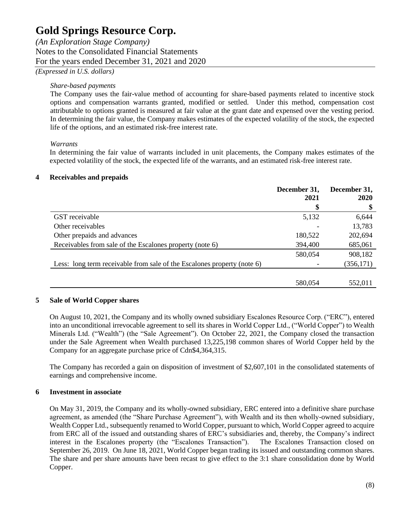*(An Exploration Stage Company)* Notes to the Consolidated Financial Statements For the years ended December 31, 2021 and 2020

*(Expressed in U.S. dollars)*

#### *Share-based payments*

The Company uses the fair-value method of accounting for share-based payments related to incentive stock options and compensation warrants granted, modified or settled. Under this method, compensation cost attributable to options granted is measured at fair value at the grant date and expensed over the vesting period. In determining the fair value, the Company makes estimates of the expected volatility of the stock, the expected life of the options, and an estimated risk-free interest rate.

#### *Warrants*

In determining the fair value of warrants included in unit placements, the Company makes estimates of the expected volatility of the stock, the expected life of the warrants, and an estimated risk-free interest rate.

#### **4 Receivables and prepaids**

|                                                                         | December 31,<br>2021 | December 31,<br><b>2020</b> |
|-------------------------------------------------------------------------|----------------------|-----------------------------|
|                                                                         | \$                   | \$                          |
| GST receivable                                                          | 5,132                | 6,644                       |
| Other receivables                                                       |                      | 13,783                      |
| Other prepaids and advances                                             | 180,522              | 202,694                     |
| Receivables from sale of the Escalones property (note 6)                | 394,400              | 685,061                     |
|                                                                         | 580,054              | 908,182                     |
| Less: long term receivable from sale of the Escalones property (note 6) |                      | (356, 171)                  |
|                                                                         |                      |                             |
|                                                                         | 580,054              | 552,011                     |
|                                                                         |                      |                             |

#### **5 Sale of World Copper shares**

On August 10, 2021, the Company and its wholly owned subsidiary Escalones Resource Corp. ("ERC"), entered into an unconditional irrevocable agreement to sell its shares in World Copper Ltd., ("World Copper") to Wealth Minerals Ltd. ("Wealth") (the "Sale Agreement"). On October 22, 2021, the Company closed the transaction under the Sale Agreement when Wealth purchased 13,225,198 common shares of World Copper held by the Company for an aggregate purchase price of Cdn\$4,364,315.

The Company has recorded a gain on disposition of investment of \$2,607,101 in the consolidated statements of earnings and comprehensive income.

#### **6 Investment in associate**

On May 31, 2019, the Company and its wholly-owned subsidiary, ERC entered into a definitive share purchase agreement, as amended (the "Share Purchase Agreement"), with Wealth and its then wholly-owned subsidiary, Wealth Copper Ltd., subsequently renamed to World Copper, pursuant to which, World Copper agreed to acquire from ERC all of the issued and outstanding shares of ERC's subsidiaries and, thereby, the Company's indirect interest in the Escalones property (the "Escalones Transaction"). The Escalones Transaction closed on September 26, 2019. On June 18, 2021, World Copper began trading its issued and outstanding common shares. The share and per share amounts have been recast to give effect to the 3:1 share consolidation done by World Copper.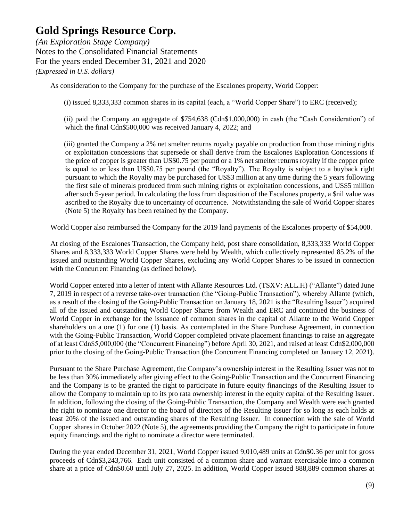*(An Exploration Stage Company)* Notes to the Consolidated Financial Statements For the years ended December 31, 2021 and 2020 *(Expressed in U.S. dollars)*

As consideration to the Company for the purchase of the Escalones property, World Copper:

(i) issued 8,333,333 common shares in its capital (each, a "World Copper Share") to ERC (received);

(ii) paid the Company an aggregate of \$754,638 (Cdn\$1,000,000) in cash (the "Cash Consideration") of which the final Cdn\$500,000 was received January 4, 2022; and

(iii) granted the Company a 2% net smelter returns royalty payable on production from those mining rights or exploitation concessions that supersede or shall derive from the Escalones Exploration Concessions if the price of copper is greater than US\$0.75 per pound or a 1% net smelter returns royalty if the copper price is equal to or less than US\$0.75 per pound (the "Royalty"). The Royalty is subject to a buyback right pursuant to which the Royalty may be purchased for US\$3 million at any time during the 5 years following the first sale of minerals produced from such mining rights or exploitation concessions, and US\$5 million after such 5-year period. In calculating the loss from disposition of the Escalones property, a \$nil value was ascribed to the Royalty due to uncertainty of occurrence. Notwithstanding the sale of World Copper shares (Note 5) the Royalty has been retained by the Company.

World Copper also reimbursed the Company for the 2019 land payments of the Escalones property of \$54,000.

At closing of the Escalones Transaction, the Company held, post share consolidation, 8,333,333 World Copper Shares and 8,333,333 World Copper Shares were held by Wealth, which collectively represented 85.2% of the issued and outstanding World Copper Shares, excluding any World Copper Shares to be issued in connection with the Concurrent Financing (as defined below).

World Copper entered into a letter of intent with Allante Resources Ltd. (TSXV: ALL.H) ("Allante") dated June 7, 2019 in respect of a reverse take-over transaction (the "Going-Public Transaction"), whereby Allante (which, as a result of the closing of the Going-Public Transaction on January 18, 2021 is the "Resulting Issuer") acquired all of the issued and outstanding World Copper Shares from Wealth and ERC and continued the business of World Copper in exchange for the issuance of common shares in the capital of Allante to the World Copper shareholders on a one (1) for one (1) basis. As contemplated in the Share Purchase Agreement, in connection with the Going-Public Transaction, World Copper completed private placement financings to raise an aggregate of at least Cdn\$5,000,000 (the "Concurrent Financing") before April 30, 2021, and raised at least Cdn\$2,000,000 prior to the closing of the Going-Public Transaction (the Concurrent Financing completed on January 12, 2021).

Pursuant to the Share Purchase Agreement, the Company's ownership interest in the Resulting Issuer was not to be less than 30% immediately after giving effect to the Going-Public Transaction and the Concurrent Financing and the Company is to be granted the right to participate in future equity financings of the Resulting Issuer to allow the Company to maintain up to its pro rata ownership interest in the equity capital of the Resulting Issuer. In addition, following the closing of the Going-Public Transaction, the Company and Wealth were each granted the right to nominate one director to the board of directors of the Resulting Issuer for so long as each holds at least 20% of the issued and outstanding shares of the Resulting Issuer. In connection with the sale of World Copper shares in October 2022 (Note 5), the agreements providing the Company the right to participate in future equity financings and the right to nominate a director were terminated.

During the year ended December 31, 2021, World Copper issued 9,010,489 units at Cdn\$0.36 per unit for gross proceeds of Cdn\$3,243,766. Each unit consisted of a common share and warrant exercisable into a common share at a price of Cdn\$0.60 until July 27, 2025. In addition, World Copper issued 888,889 common shares at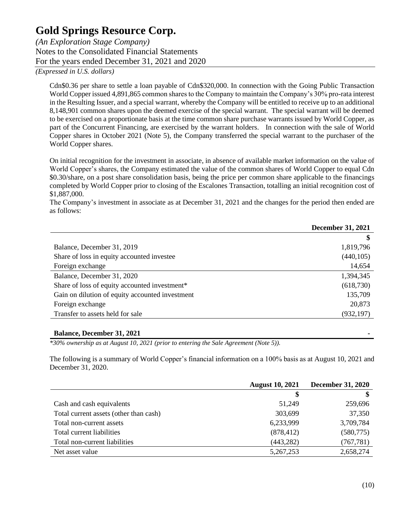*(An Exploration Stage Company)* Notes to the Consolidated Financial Statements For the years ended December 31, 2021 and 2020

*(Expressed in U.S. dollars)*

Cdn\$0.36 per share to settle a loan payable of Cdn\$320,000. In connection with the Going Public Transaction World Copper issued 4,891,865 common shares to the Company to maintain the Company's 30% pro-rata interest in the Resulting Issuer, and a special warrant, whereby the Company will be entitled to receive up to an additional 8,148,901 common shares upon the deemed exercise of the special warrant. The special warrant will be deemed to be exercised on a proportionate basis at the time common share purchase warrants issued by World Copper, as part of the Concurrent Financing, are exercised by the warrant holders. In connection with the sale of World Copper shares in October 2021 (Note 5), the Company transferred the special warrant to the purchaser of the World Copper shares.

On initial recognition for the investment in associate, in absence of available market information on the value of World Copper's shares, the Company estimated the value of the common shares of World Copper to equal Cdn \$0.30/share, on a post share consolidation basis, being the price per common share applicable to the financings completed by World Copper prior to closing of the Escalones Transaction, totalling an initial recognition cost of \$1,887,000.

The Company's investment in associate as at December 31, 2021 and the changes for the period then ended are as follows:

|                                                 | <b>December 31, 2021</b> |
|-------------------------------------------------|--------------------------|
|                                                 |                          |
| Balance, December 31, 2019                      | 1,819,796                |
| Share of loss in equity accounted investee      | (440, 105)               |
| Foreign exchange                                | 14,654                   |
| Balance, December 31, 2020                      | 1,394,345                |
| Share of loss of equity accounted investment*   | (618, 730)               |
| Gain on dilution of equity accounted investment | 135,709                  |
| Foreign exchange                                | 20,873                   |
| Transfer to assets held for sale                | (932, 197)               |
|                                                 |                          |

#### **Balance, December 31, 2021 -**

*\*30% ownership as at August 10, 2021 (prior to entering the Sale Agreement (Note 5)).*

The following is a summary of World Copper's financial information on a 100% basis as at August 10, 2021 and December 31, 2020.

|                                        | <b>August 10, 2021</b> | <b>December 31, 2020</b> |
|----------------------------------------|------------------------|--------------------------|
|                                        | \$                     | \$                       |
| Cash and cash equivalents              | 51.249                 | 259,696                  |
| Total current assets (other than cash) | 303,699                | 37,350                   |
| Total non-current assets               | 6,233,999              | 3,709,784                |
| Total current liabilities              | (878, 412)             | (580, 775)               |
| Total non-current liabilities          | (443, 282)             | (767, 781)               |
| Net asset value                        | 5,267,253              | 2,658,274                |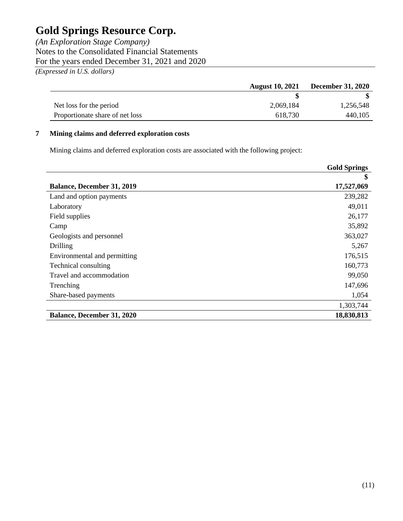*(An Exploration Stage Company)* Notes to the Consolidated Financial Statements For the years ended December 31, 2021 and 2020

*(Expressed in U.S. dollars)*

|                                 | <b>August 10, 2021</b> | <b>December 31, 2020</b> |
|---------------------------------|------------------------|--------------------------|
|                                 |                        |                          |
| Net loss for the period         | 2,069,184              | 1,256,548                |
| Proportionate share of net loss | 618,730                | 440,105                  |

### **7 Mining claims and deferred exploration costs**

Mining claims and deferred exploration costs are associated with the following project:

|                                   | <b>Gold Springs</b> |
|-----------------------------------|---------------------|
|                                   | \$                  |
| <b>Balance, December 31, 2019</b> | 17,527,069          |
| Land and option payments          | 239,282             |
| Laboratory                        | 49,011              |
| Field supplies                    | 26,177              |
| Camp                              | 35,892              |
| Geologists and personnel          | 363,027             |
| Drilling                          | 5,267               |
| Environmental and permitting      | 176,515             |
| Technical consulting              | 160,773             |
| Travel and accommodation          | 99,050              |
| Trenching                         | 147,696             |
| Share-based payments              | 1,054               |
|                                   | 1,303,744           |
| <b>Balance, December 31, 2020</b> | 18,830,813          |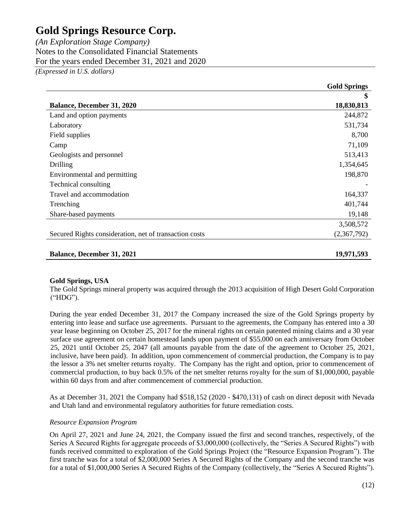*(An Exploration Stage Company)* Notes to the Consolidated Financial Statements For the years ended December 31, 2021 and 2020

*(Expressed in U.S. dollars)*

|                                                        | <b>Gold Springs</b> |
|--------------------------------------------------------|---------------------|
|                                                        | \$                  |
| <b>Balance, December 31, 2020</b>                      | 18,830,813          |
| Land and option payments                               | 244,872             |
| Laboratory                                             | 531,734             |
| Field supplies                                         | 8,700               |
| Camp                                                   | 71,109              |
| Geologists and personnel                               | 513,413             |
| Drilling                                               | 1,354,645           |
| Environmental and permitting                           | 198,870             |
| Technical consulting                                   |                     |
| Travel and accommodation                               | 164,337             |
| Trenching                                              | 401,744             |
| Share-based payments                                   | 19,148              |
|                                                        | 3,508,572           |
| Secured Rights consideration, net of transaction costs | (2,367,792)         |
|                                                        |                     |
| <b>Balance, December 31, 2021</b>                      | 19,971,593          |

#### **Gold Springs, USA**

The Gold Springs mineral property was acquired through the 2013 acquisition of High Desert Gold Corporation ("HDG").

During the year ended December 31, 2017 the Company increased the size of the Gold Springs property by entering into lease and surface use agreements. Pursuant to the agreements, the Company has entered into a 30 year lease beginning on October 25, 2017 for the mineral rights on certain patented mining claims and a 30 year surface use agreement on certain homestead lands upon payment of \$55,000 on each anniversary from October 25, 2021 until October 25, 2047 (all amounts payable from the date of the agreement to October 25, 2021, inclusive, have been paid). In addition, upon commencement of commercial production, the Company is to pay the lessor a 3% net smelter returns royalty. The Company has the right and option, prior to commencement of commercial production, to buy back 0.5% of the net smelter returns royalty for the sum of \$1,000,000, payable within 60 days from and after commencement of commercial production.

As at December 31, 2021 the Company had \$518,152 (2020 - \$470,131) of cash on direct deposit with Nevada and Utah land and environmental regulatory authorities for future remediation costs.

#### *Resource Expansion Program*

On April 27, 2021 and June 24, 2021, the Company issued the first and second tranches, respectively, of the Series A Secured Rights for aggregate proceeds of \$3,000,000 (collectively, the "Series A Secured Rights") with funds received committed to exploration of the Gold Springs Project (the "Resource Expansion Program"). The first tranche was for a total of \$2,000,000 Series A Secured Rights of the Company and the second tranche was for a total of \$1,000,000 Series A Secured Rights of the Company (collectively, the "Series A Secured Rights").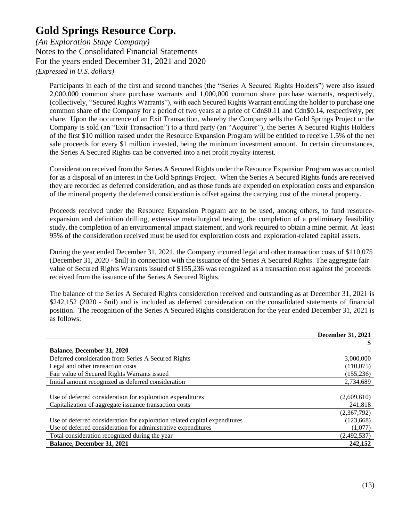*(An Exploration Stage Company)* Notes to the Consolidated Financial Statements For the years ended December 31, 2021 and 2020

*(Expressed in U.S. dollars)*

Participants in each of the first and second tranches (the "Series A Secured Rights Holders") were also issued 2,000,000 common share purchase warrants and 1,000,000 common share purchase warrants, respectively, (collectively, "Secured Rights Warrants"), with each Secured Rights Warrant entitling the holder to purchase one common share of the Company for a period of two years at a price of Cdn\$0.11 and Cdn\$0.14, respectively, per share. Upon the occurrence of an Exit Transaction, whereby the Company sells the Gold Springs Project or the Company is sold (an "Exit Transaction") to a third party (an "Acquirer"), the Series A Secured Rights Holders of the first \$10 million raised under the Resource Expansion Program will be entitled to receive 1.5% of the net sale proceeds for every \$1 million invested, being the minimum investment amount. In certain circumstances, the Series A Secured Rights can be converted into a net profit royalty interest.

Consideration received from the Series A Secured Rights under the Resource Expansion Program was accounted for as a disposal of an interest in the Gold Springs Project. When the Series A Secured Rights funds are received they are recorded as deferred consideration, and as those funds are expended on exploration costs and expansion of the mineral property the deferred consideration is offset against the carrying cost of the mineral property.

Proceeds received under the Resource Expansion Program are to be used, among others, to fund resourceexpansion and definition drilling, extensive metallurgical testing, the completion of a preliminary feasibility study, the completion of an environmental impact statement, and work required to obtain a mine permit. At least 95% of the consideration received must be used for exploration costs and exploration-related capital assets.

During the year ended December 31, 2021, the Company incurred legal and other transaction costs of \$110,075 (December 31, 2020 - \$nil) in connection with the issuance of the Series A Secured Rights. The aggregate fair value of Secured Rights Warrants issued of \$155,236 was recognized as a transaction cost against the proceeds received from the issuance of the Series A Secured Rights.

The balance of the Series A Secured Rights consideration received and outstanding as at December 31, 2021 is \$242,152 (2020 - \$nil) and is included as deferred consideration on the consolidated statements of financial position. The recognition of the Series A Secured Rights consideration for the year ended December 31, 2021 is as follows:

|                                                                            | <b>December 31, 2021</b> |
|----------------------------------------------------------------------------|--------------------------|
|                                                                            |                          |
| <b>Balance, December 31, 2020</b>                                          |                          |
| Deferred consideration from Series A Secured Rights                        | 3,000,000                |
| Legal and other transaction costs                                          | (110,075)                |
| Fair value of Secured Rights Warrants issued                               | (155, 236)               |
| Initial amount recognized as deferred consideration                        | 2,734,689                |
|                                                                            |                          |
| Use of deferred consideration for exploration expenditures                 | (2,609,610)              |
| Capitalization of aggregate issuance transaction costs                     | 241.818                  |
|                                                                            | (2,367,792)              |
| Use of deferred consideration for exploration related capital expenditures | (123, 668)               |
| Use of deferred consideration for administrative expenditures              | (1,077)                  |
| Total consideration recognized during the year                             | (2,492,537)              |
| <b>Balance, December 31, 2021</b>                                          | 242,152                  |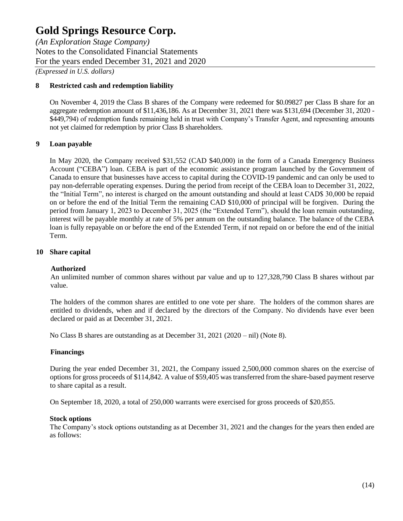*(An Exploration Stage Company)* Notes to the Consolidated Financial Statements For the years ended December 31, 2021 and 2020 *(Expressed in U.S. dollars)*

# **8 Restricted cash and redemption liability**

On November 4, 2019 the Class B shares of the Company were redeemed for \$0.09827 per Class B share for an aggregate redemption amount of \$11,436,186. As at December 31, 2021 there was \$131,694 (December 31, 2020 - \$449,794) of redemption funds remaining held in trust with Company's Transfer Agent, and representing amounts not yet claimed for redemption by prior Class B shareholders.

### **9 Loan payable**

In May 2020, the Company received \$31,552 (CAD \$40,000) in the form of a Canada Emergency Business Account ("CEBA") loan. CEBA is part of the economic assistance program launched by the Government of Canada to ensure that businesses have access to capital during the COVID-19 pandemic and can only be used to pay non-deferrable operating expenses. During the period from receipt of the CEBA loan to December 31, 2022, the "Initial Term", no interest is charged on the amount outstanding and should at least CAD\$ 30,000 be repaid on or before the end of the Initial Term the remaining CAD \$10,000 of principal will be forgiven. During the period from January 1, 2023 to December 31, 2025 (the "Extended Term"), should the loan remain outstanding, interest will be payable monthly at rate of 5% per annum on the outstanding balance. The balance of the CEBA loan is fully repayable on or before the end of the Extended Term, if not repaid on or before the end of the initial Term.

#### **10 Share capital**

#### **Authorized**

An unlimited number of common shares without par value and up to 127,328,790 Class B shares without par value.

The holders of the common shares are entitled to one vote per share. The holders of the common shares are entitled to dividends, when and if declared by the directors of the Company. No dividends have ever been declared or paid as at December 31, 2021.

No Class B shares are outstanding as at December 31, 2021 (2020 – nil) (Note 8).

#### **Financings**

During the year ended December 31, 2021, the Company issued 2,500,000 common shares on the exercise of options for gross proceeds of \$114,842. A value of \$59,405 was transferred from the share-based payment reserve to share capital as a result.

On September 18, 2020, a total of 250,000 warrants were exercised for gross proceeds of \$20,855.

#### **Stock options**

The Company's stock options outstanding as at December 31, 2021 and the changes for the years then ended are as follows: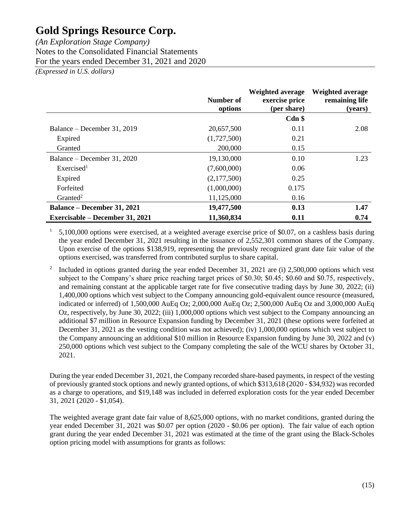*(An Exploration Stage Company)* Notes to the Consolidated Financial Statements For the years ended December 31, 2021 and 2020

*(Expressed in U.S. dollars)*

|                                        | Number of<br>options | <b>Weighted average</b><br>exercise price<br>(per share) | Weighted average<br>remaining life<br>(years) |
|----------------------------------------|----------------------|----------------------------------------------------------|-----------------------------------------------|
|                                        |                      | $Cdn$ \$                                                 |                                               |
| Balance – December 31, 2019            | 20,657,500           | 0.11                                                     | 2.08                                          |
| Expired                                | (1,727,500)          | 0.21                                                     |                                               |
| Granted                                | 200,000              | 0.15                                                     |                                               |
| Balance – December 31, 2020            | 19,130,000           | 0.10                                                     | 1.23                                          |
| Exercise d <sup>1</sup>                | (7,600,000)          | 0.06                                                     |                                               |
| Expired                                | (2,177,500)          | 0.25                                                     |                                               |
| Forfeited                              | (1,000,000)          | 0.175                                                    |                                               |
| Granted <sup>2</sup>                   | 11,125,000           | 0.16                                                     |                                               |
| <b>Balance – December 31, 2021</b>     | 19,477,500           | 0.13                                                     | 1.47                                          |
| <b>Exercisable – December 31, 2021</b> | 11,360,834           | 0.11                                                     | 0.74                                          |

 $1\quad 5,100,000$  options were exercised, at a weighted average exercise price of \$0.07, on a cashless basis during the year ended December 31, 2021 resulting in the issuance of 2,552,301 common shares of the Company. Upon exercise of the options \$138,919, representing the previously recognized grant date fair value of the options exercised, was transferred from contributed surplus to share capital.

2 Included in options granted during the year ended December 31, 2021 are (i) 2,500,000 options which vest subject to the Company's share price reaching target prices of \$0.30; \$0.45; \$0.60 and \$0.75, respectively, and remaining constant at the applicable target rate for five consecutive trading days by June 30, 2022; (ii) 1,400,000 options which vest subject to the Company announcing gold-equivalent ounce resource (measured, indicated or inferred) of 1,500,000 AuEq Oz; 2,000,000 AuEq Oz; 2,500,000 AuEq Oz and 3,000,000 AuEq Oz, respectively, by June 30, 2022; (iii) 1,000,000 options which vest subject to the Company announcing an additional \$7 million in Resource Expansion funding by December 31, 2021 (these options were forfeited at December 31, 2021 as the vesting condition was not achieved); (iv) 1,000,000 options which vest subject to the Company announcing an additional \$10 million in Resource Expansion funding by June 30, 2022 and (v) 250,000 options which vest subject to the Company completing the sale of the WCU shares by October 31, 2021.

During the year ended December 31, 2021, the Company recorded share-based payments, in respect of the vesting of previously granted stock options and newly granted options, of which \$313,618 (2020 - \$34,932) was recorded as a charge to operations, and \$19,148 was included in deferred exploration costs for the year ended December 31, 2021 (2020 - \$1,054).

The weighted average grant date fair value of 8,625,000 options, with no market conditions, granted during the year ended December 31, 2021 was \$0.07 per option (2020 - \$0.06 per option). The fair value of each option grant during the year ended December 31, 2021 was estimated at the time of the grant using the Black-Scholes option pricing model with assumptions for grants as follows: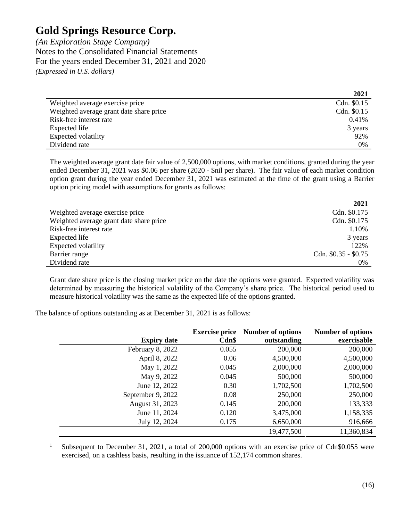*(An Exploration Stage Company)* Notes to the Consolidated Financial Statements For the years ended December 31, 2021 and 2020

*(Expressed in U.S. dollars)*

|                                         | 2021        |
|-----------------------------------------|-------------|
| Weighted average exercise price         | Cdn. \$0.15 |
| Weighted average grant date share price | Cdn. \$0.15 |
| Risk-free interest rate                 | 0.41%       |
| Expected life                           | 3 years     |
| <b>Expected volatility</b>              | 92%         |
| Dividend rate                           | 0%          |

The weighted average grant date fair value of 2,500,000 options, with market conditions, granted during the year ended December 31, 2021 was \$0.06 per share (2020 - \$nil per share). The fair value of each market condition option grant during the year ended December 31, 2021 was estimated at the time of the grant using a Barrier option pricing model with assumptions for grants as follows:

|                                         | <b>2021</b>          |
|-----------------------------------------|----------------------|
| Weighted average exercise price         | Cdn. \$0.175         |
| Weighted average grant date share price | Cdn. \$0.175         |
| Risk-free interest rate                 | 1.10%                |
| Expected life                           | 3 years              |
| Expected volatility                     | 122%                 |
| Barrier range                           | Cdn. \$0.35 - \$0.75 |
| Dividend rate                           | 0%                   |

Grant date share price is the closing market price on the date the options were granted. Expected volatility was determined by measuring the historical volatility of the Company's share price. The historical period used to measure historical volatility was the same as the expected life of the options granted.

The balance of options outstanding as at December 31, 2021 is as follows:

| <b>Expiry date</b> | <b>Exercise price</b><br>$Cdn$ \$ | <b>Number of options</b><br>outstanding | <b>Number of options</b><br>exercisable |
|--------------------|-----------------------------------|-----------------------------------------|-----------------------------------------|
| February 8, 2022   | 0.055                             | 200,000                                 | 200,000                                 |
| April 8, 2022      | 0.06                              | 4,500,000                               | 4,500,000                               |
| May 1, 2022        | 0.045                             | 2,000,000                               | 2,000,000                               |
| May 9, 2022        | 0.045                             | 500,000                                 | 500,000                                 |
| June 12, 2022      | 0.30                              | 1,702,500                               | 1,702,500                               |
| September 9, 2022  | 0.08                              | 250,000                                 | 250,000                                 |
| August 31, 2023    | 0.145                             | 200,000                                 | 133,333                                 |
| June 11, 2024      | 0.120                             | 3,475,000                               | 1,158,335                               |
| July 12, 2024      | 0.175                             | 6,650,000                               | 916,666                                 |
|                    |                                   | 19,477,500                              | 11,360,834                              |

<sup>1</sup> Subsequent to December 31, 2021, a total of 200,000 options with an exercise price of Cdn\$0.055 were exercised, on a cashless basis, resulting in the issuance of 152,174 common shares.

**2021**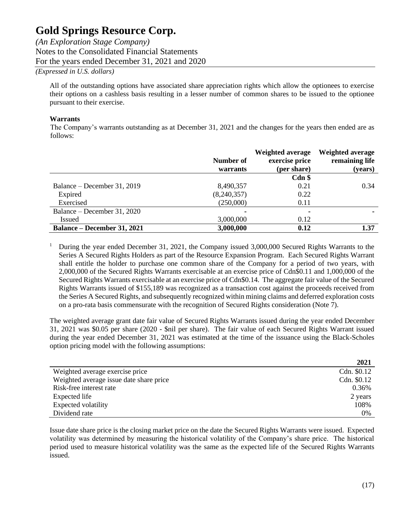*(An Exploration Stage Company)* Notes to the Consolidated Financial Statements For the years ended December 31, 2021 and 2020

*(Expressed in U.S. dollars)*

All of the outstanding options have associated share appreciation rights which allow the optionees to exercise their options on a cashless basis resulting in a lesser number of common shares to be issued to the optionee pursuant to their exercise.

#### **Warrants**

The Company's warrants outstanding as at December 31, 2021 and the changes for the years then ended are as follows:

|                                    | Number of<br>warrants | <b>Weighted average</b><br>exercise price<br>(per share) | <b>Weighted average</b><br>remaining life<br>(years) |
|------------------------------------|-----------------------|----------------------------------------------------------|------------------------------------------------------|
|                                    |                       | $Cdn$ \$                                                 |                                                      |
| Balance – December 31, 2019        | 8,490,357             | 0.21                                                     | 0.34                                                 |
| Expired                            | (8,240,357)           | 0.22                                                     |                                                      |
| Exercised                          | (250,000)             | 0.11                                                     |                                                      |
| Balance – December 31, 2020        | ۰                     |                                                          |                                                      |
| <b>Issued</b>                      | 3,000,000             | 0.12                                                     |                                                      |
| <b>Balance – December 31, 2021</b> | 3,000,000             | 0.12                                                     | 1.37                                                 |

<sup>1</sup> During the year ended December 31, 2021, the Company issued  $3,000,000$  Secured Rights Warrants to the Series A Secured Rights Holders as part of the Resource Expansion Program. Each Secured Rights Warrant shall entitle the holder to purchase one common share of the Company for a period of two years, with 2,000,000 of the Secured Rights Warrants exercisable at an exercise price of Cdn\$0.11 and 1,000,000 of the Secured Rights Warrants exercisable at an exercise price of Cdn\$0.14. The aggregate fair value of the Secured Rights Warrants issued of \$155,189 was recognized as a transaction cost against the proceeds received from the Series A Secured Rights, and subsequently recognized within mining claims and deferred exploration costs on a pro-rata basis commensurate with the recognition of Secured Rights consideration (Note 7).

The weighted average grant date fair value of Secured Rights Warrants issued during the year ended December 31, 2021 was \$0.05 per share (2020 - \$nil per share). The fair value of each Secured Rights Warrant issued during the year ended December 31, 2021 was estimated at the time of the issuance using the Black-Scholes option pricing model with the following assumptions:

|                                         | 2021        |
|-----------------------------------------|-------------|
| Weighted average exercise price         | Cdn. \$0.12 |
| Weighted average issue date share price | Cdn. \$0.12 |
| Risk-free interest rate                 | 0.36%       |
| Expected life                           | 2 years     |
| <b>Expected volatility</b>              | 108%        |
| Dividend rate                           | $0\%$       |

Issue date share price is the closing market price on the date the Secured Rights Warrants were issued. Expected volatility was determined by measuring the historical volatility of the Company's share price. The historical period used to measure historical volatility was the same as the expected life of the Secured Rights Warrants issued.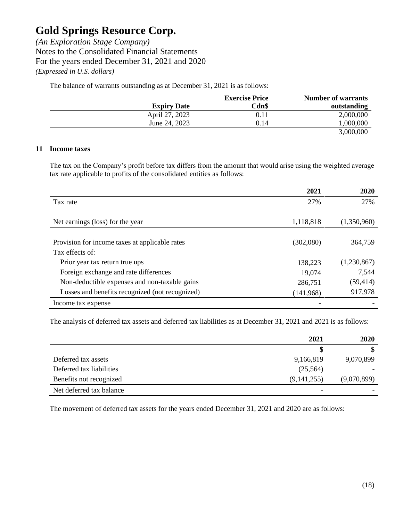*(An Exploration Stage Company)* Notes to the Consolidated Financial Statements For the years ended December 31, 2021 and 2020

*(Expressed in U.S. dollars)*

The balance of warrants outstanding as at December 31, 2021 is as follows:

|                    | <b>Exercise Price</b> | <b>Number of warrants</b> |
|--------------------|-----------------------|---------------------------|
| <b>Expiry Date</b> | Cdn\$                 | outstanding               |
| April 27, 2023     | 0.11                  | 2,000,000                 |
| June 24, 2023      | 0.14                  | 1,000,000                 |
|                    |                       | 3,000,000                 |

#### **11 Income taxes**

The tax on the Company's profit before tax differs from the amount that would arise using the weighted average tax rate applicable to profits of the consolidated entities as follows:

|                                                 | 2021       | 2020        |
|-------------------------------------------------|------------|-------------|
| Tax rate                                        | 27%        | 27%         |
|                                                 |            |             |
| Net earnings (loss) for the year                | 1,118,818  | (1,350,960) |
|                                                 |            |             |
| Provision for income taxes at applicable rates  | (302,080)  | 364,759     |
| Tax effects of:                                 |            |             |
| Prior year tax return true ups                  | 138,223    | (1,230,867) |
| Foreign exchange and rate differences           | 19,074     | 7,544       |
| Non-deductible expenses and non-taxable gains   | 286,751    | (59, 414)   |
| Losses and benefits recognized (not recognized) | (141, 968) | 917,978     |
| Income tax expense                              |            |             |

The analysis of deferred tax assets and deferred tax liabilities as at December 31, 2021 and 2021 is as follows:

|                          | 2021        | 2020        |
|--------------------------|-------------|-------------|
|                          | \$          |             |
| Deferred tax assets      | 9,166,819   | 9,070,899   |
| Deferred tax liabilities | (25,564)    |             |
| Benefits not recognized  | (9,141,255) | (9,070,899) |
| Net deferred tax balance |             |             |

The movement of deferred tax assets for the years ended December 31, 2021 and 2020 are as follows: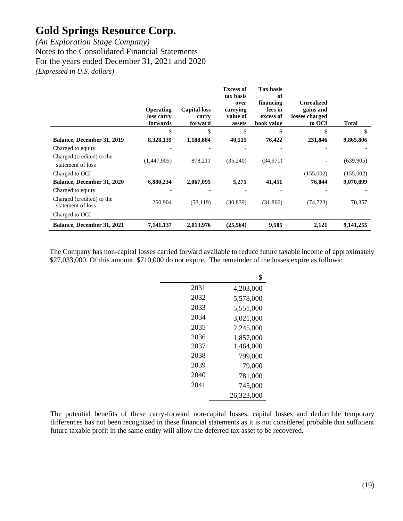*(An Exploration Stage Company)* Notes to the Consolidated Financial Statements For the years ended December 31, 2021 and 2020

*(Expressed in U.S. dollars)*

|                                                | Operating<br>loss carry<br>forwards | <b>Capital loss</b><br>carry<br>forward | <b>Excess of</b><br>tax basis<br>over<br>carrying<br>value of<br>assets | Tax basis<br>of<br>financing<br>fees in<br>excess of<br>book value | <b>Unrealized</b><br>gains and<br>losses charged<br>to OCI | <b>Total</b> |
|------------------------------------------------|-------------------------------------|-----------------------------------------|-------------------------------------------------------------------------|--------------------------------------------------------------------|------------------------------------------------------------|--------------|
|                                                | \$                                  |                                         | \$                                                                      |                                                                    |                                                            | S            |
| <b>Balance, December 31, 2019</b>              | 8,328,139                           | 1,188,884                               | 40,515                                                                  | 76,422                                                             | 231,846                                                    | 9,865,806    |
| Charged to equity                              |                                     |                                         |                                                                         |                                                                    |                                                            |              |
| Charged (credited) to the<br>statement of loss | (1,447,905)                         | 878,211                                 | (35,240)                                                                | (34,971)                                                           |                                                            | (639,905)    |
| Charged to OCI                                 |                                     |                                         |                                                                         |                                                                    | (155,002)                                                  | (155,002)    |
| <b>Balance, December 31, 2020</b>              | 6,880,234                           | 2,067,095                               | 5,275                                                                   | 41,451                                                             | 76,844                                                     | 9,070,899    |
| Charged to equity                              |                                     |                                         |                                                                         |                                                                    |                                                            |              |
| Charged (credited) to the<br>statement of loss | 260,904                             | (53, 119)                               | (30, 839)                                                               | (31, 866)                                                          | (74, 723)                                                  | 70,357       |
| Charged to OCI                                 |                                     |                                         |                                                                         |                                                                    |                                                            |              |
| Balance, December 31, 2021                     | 7,141,137                           | 2,013,976                               | (25, 564)                                                               | 9,585                                                              | 2,121                                                      | 9,141,255    |

The Company has non-capital losses carried forward available to reduce future taxable income of approximately \$27,033,000. Of this amount, \$710,000 do not expire. The remainder of the losses expire as follows:

|      | \$         |
|------|------------|
| 2031 | 4,203,000  |
| 2032 | 5,578,000  |
| 2033 | 5,551,000  |
| 2034 | 3,021,000  |
| 2035 | 2,245,000  |
| 2036 | 1,857,000  |
| 2037 | 1,464,000  |
| 2038 | 799,000    |
| 2039 | 79,000     |
| 2040 | 781,000    |
| 2041 | 745,000    |
|      | 26,323,000 |

The potential benefits of these carry-forward non-capital losses, capital losses and deductible temporary differences has not been recognized in these financial statements as it is not considered probable that sufficient future taxable profit in the same entity will allow the deferred tax asset to be recovered.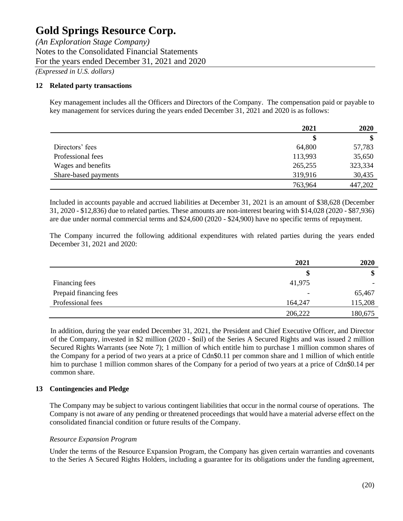*(An Exploration Stage Company)* Notes to the Consolidated Financial Statements For the years ended December 31, 2021 and 2020 *(Expressed in U.S. dollars)*

#### **12 Related party transactions**

Key management includes all the Officers and Directors of the Company. The compensation paid or payable to key management for services during the years ended December 31, 2021 and 2020 is as follows:

|                      | 2021    | <b>2020</b> |
|----------------------|---------|-------------|
|                      | \$      | \$          |
| Directors' fees      | 64,800  | 57,783      |
| Professional fees    | 113,993 | 35,650      |
| Wages and benefits   | 265,255 | 323,334     |
| Share-based payments | 319,916 | 30,435      |
|                      | 763,964 | 447,202     |

Included in accounts payable and accrued liabilities at December 31, 2021 is an amount of \$38,628 (December 31, 2020 - \$12,836) due to related parties. These amounts are non-interest bearing with \$14,028 (2020 - \$87,936) are due under normal commercial terms and \$24,600 (2020 - \$24,900) have no specific terms of repayment.

The Company incurred the following additional expenditures with related parties during the years ended December 31, 2021 and 2020:

|                        | 2021    | 2020    |
|------------------------|---------|---------|
|                        | \$      | \$      |
| Financing fees         | 41,975  | -       |
| Prepaid financing fees | ٠       | 65,467  |
| Professional fees      | 164,247 | 115,208 |
|                        | 206,222 | 180,675 |

In addition, during the year ended December 31, 2021, the President and Chief Executive Officer, and Director of the Company, invested in \$2 million (2020 - \$nil) of the Series A Secured Rights and was issued 2 million Secured Rights Warrants (see Note 7); 1 million of which entitle him to purchase 1 million common shares of the Company for a period of two years at a price of Cdn\$0.11 per common share and 1 million of which entitle him to purchase 1 million common shares of the Company for a period of two years at a price of Cdn\$0.14 per common share.

#### **13 Contingencies and Pledge**

The Company may be subject to various contingent liabilities that occur in the normal course of operations. The Company is not aware of any pending or threatened proceedings that would have a material adverse effect on the consolidated financial condition or future results of the Company.

#### *Resource Expansion Program*

Under the terms of the Resource Expansion Program, the Company has given certain warranties and covenants to the Series A Secured Rights Holders, including a guarantee for its obligations under the funding agreement,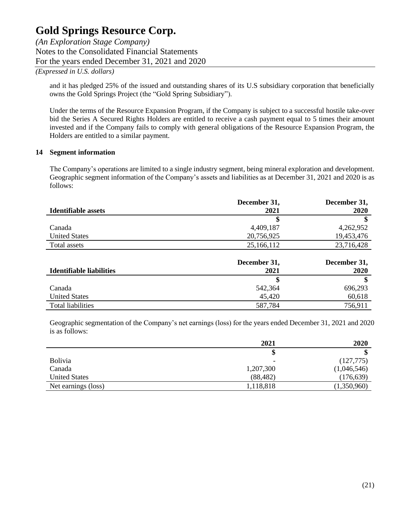*(An Exploration Stage Company)* Notes to the Consolidated Financial Statements For the years ended December 31, 2021 and 2020

*(Expressed in U.S. dollars)*

and it has pledged 25% of the issued and outstanding shares of its U.S subsidiary corporation that beneficially owns the Gold Springs Project (the "Gold Spring Subsidiary").

Under the terms of the Resource Expansion Program, if the Company is subject to a successful hostile take-over bid the Series A Secured Rights Holders are entitled to receive a cash payment equal to 5 times their amount invested and if the Company fails to comply with general obligations of the Resource Expansion Program, the Holders are entitled to a similar payment.

### **14 Segment information**

The Company's operations are limited to a single industry segment, being mineral exploration and development. Geographic segment information of the Company's assets and liabilities as at December 31, 2021 and 2020 is as follows:

|                            | December 31, | December 31, |
|----------------------------|--------------|--------------|
| <b>Identifiable assets</b> | 2021         | 2020         |
|                            |              |              |
| Canada                     | 4,409,187    | 4,262,952    |
| <b>United States</b>       | 20,756,925   | 19,453,476   |
| Total assets               | 25,166,112   | 23,716,428   |
|                            |              |              |

|                                 | December 31, | December 31, |
|---------------------------------|--------------|--------------|
| <b>Identifiable liabilities</b> | 2021         | 2020         |
|                                 |              |              |
| Canada                          | 542,364      | 696,293      |
| <b>United States</b>            | 45,420       | 60,618       |
| Total liabilities               | 587,784      | 756,911      |

Geographic segmentation of the Company's net earnings (loss) for the years ended December 31, 2021 and 2020 is as follows:

|                      | 2021                     | 2020        |
|----------------------|--------------------------|-------------|
|                      | 5                        | Φ.<br>ง     |
| <b>Bolivia</b>       | $\overline{\phantom{0}}$ | (127, 775)  |
| Canada               | 1,207,300                | (1,046,546) |
| <b>United States</b> | (88, 482)                | (176, 639)  |
| Net earnings (loss)  | 1,118,818                | (1,350,960) |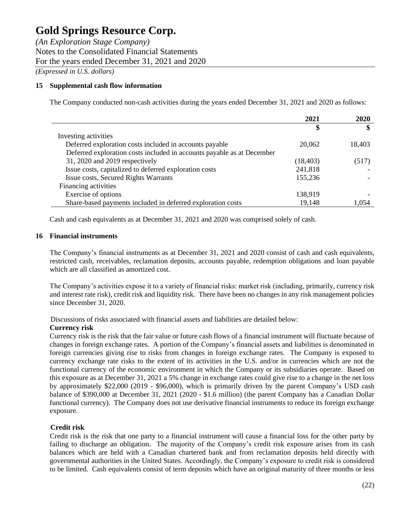### **15 Supplemental cash flow information**

The Company conducted non-cash activities during the years ended December 31, 2021 and 2020 as follows:

|                                                                        | 2021      | 2020   |
|------------------------------------------------------------------------|-----------|--------|
|                                                                        | \$        |        |
| Investing activities                                                   |           |        |
| Deferred exploration costs included in accounts payable                | 20,062    | 18,403 |
| Deferred exploration costs included in accounts payable as at December |           |        |
| 31, 2020 and 2019 respectively                                         | (18, 403) | (517)  |
| Issue costs, capitalized to deferred exploration costs                 | 241,818   |        |
| Issue costs, Secured Rights Warrants                                   | 155,236   |        |
| Financing activities                                                   |           |        |
| Exercise of options                                                    | 138,919   |        |
| Share-based payments included in deferred exploration costs            | 19,148    | 1.054  |

Cash and cash equivalents as at December 31, 2021 and 2020 was comprised solely of cash.

#### **16 Financial instruments**

The Company's financial instruments as at December 31, 2021 and 2020 consist of cash and cash equivalents, restricted cash, receivables, reclamation deposits, accounts payable, redemption obligations and loan payable which are all classified as amortized cost.

The Company's activities expose it to a variety of financial risks: market risk (including, primarily, currency risk and interest rate risk), credit risk and liquidity risk. There have been no changes in any risk management policies since December 31, 2020.

Discussions of risks associated with financial assets and liabilities are detailed below:

#### **Currency risk**

Currency risk is the risk that the fair value or future cash flows of a financial instrument will fluctuate because of changes in foreign exchange rates. A portion of the Company's financial assets and liabilities is denominated in foreign currencies giving rise to risks from changes in foreign exchange rates. The Company is exposed to currency exchange rate risks to the extent of its activities in the U.S. and/or in currencies which are not the functional currency of the economic environment in which the Company or its subsidiaries operate. Based on this exposure as at December 31, 2021 a 5% change in exchange rates could give rise to a change in the net loss by approximately \$22,000 (2019 - \$96,000), which is primarily driven by the parent Company's USD cash balance of \$390,000 at December 31, 2021 (2020 - \$1.6 million) (the parent Company has a Canadian Dollar functional currency). The Company does not use derivative financial instruments to reduce its foreign exchange exposure.

#### **Credit risk**

Credit risk is the risk that one party to a financial instrument will cause a financial loss for the other party by failing to discharge an obligation. The majority of the Company's credit risk exposure arises from its cash balances which are held with a Canadian chartered bank and from reclamation deposits held directly with governmental authorities in the United States. Accordingly, the Company's exposure to credit risk is considered to be limited. Cash equivalents consist of term deposits which have an original maturity of three months or less